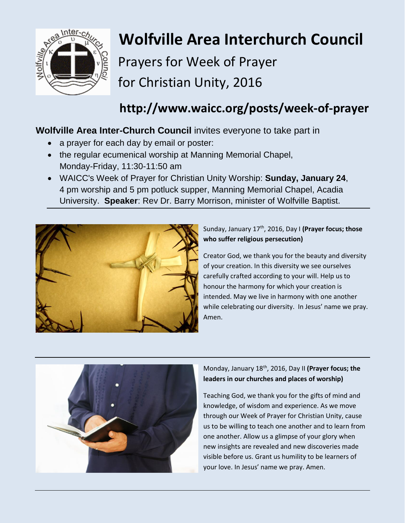

# **Wolfville Area Interchurch Council**

Prayers for Week of Prayer for Christian Unity, 2016

## **http://www.waicc.org/posts/week-of-prayer**

### **Wolfville Area Inter-Church Council** invites everyone to take part in

- a prayer for each day by email or poster:
- the regular ecumenical worship at Manning Memorial Chapel, Monday-Friday, 11:30-11:50 am
- WAICC's Week of Prayer for Christian Unity Worship: **Sunday, January 24**, 4 pm worship and 5 pm potluck supper, Manning Memorial Chapel, Acadia University. **Speaker**: Rev Dr. Barry Morrison, minister of Wolfville Baptist.



Sunday, January 17<sup>th</sup>, 2016, Day I (Prayer focus; those **who suffer religious persecution)**

Creator God, we thank you for the beauty and diversity of your creation. In this diversity we see ourselves carefully crafted according to your will. Help us to honour the harmony for which your creation is intended. May we live in harmony with one another while celebrating our diversity. In Jesus' name we pray. Amen.



#### Monday, January 18th, 2016, Day II **(Prayer focus; the leaders in our churches and places of worship)**

Teaching God, we thank you for the gifts of mind and knowledge, of wisdom and experience. As we move through our Week of Prayer for Christian Unity, cause us to be willing to teach one another and to learn from one another. Allow us a glimpse of your glory when new insights are revealed and new discoveries made visible before us. Grant us humility to be learners of your love. In Jesus' name we pray. Amen.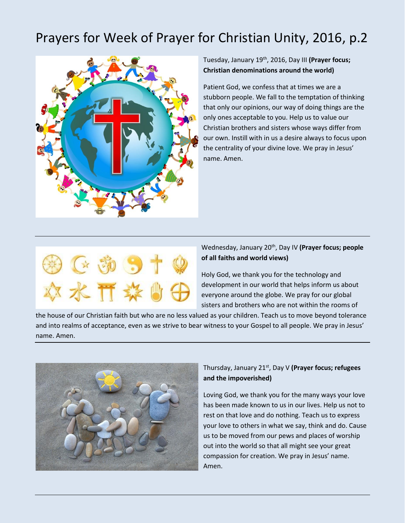## Prayers for Week of Prayer for Christian Unity, 2016, p.2



#### Tuesday, January 19th, 2016, Day III **(Prayer focus; Christian denominations around the world)**

Patient God, we confess that at times we are a stubborn people. We fall to the temptation of thinking that only our opinions, our way of doing things are the only ones acceptable to you. Help us to value our Christian brothers and sisters whose ways differ from our own. Instill with in us a desire always to focus upon the centrality of your divine love. We pray in Jesus' name. Amen.



#### Wednesday, January 20<sup>th</sup>, Day IV (Prayer focus; people **of all faiths and world views)**

Holy God, we thank you for the technology and development in our world that helps inform us about everyone around the globe. We pray for our global sisters and brothers who are not within the rooms of

the house of our Christian faith but who are no less valued as your children. Teach us to move beyond tolerance and into realms of acceptance, even as we strive to bear witness to your Gospel to all people. We pray in Jesus' name. Amen.



#### Thursday, January 21st, Day V **(Prayer focus; refugees and the impoverished)**

Loving God, we thank you for the many ways your love has been made known to us in our lives. Help us not to rest on that love and do nothing. Teach us to express your love to others in what we say, think and do. Cause us to be moved from our pews and places of worship out into the world so that all might see your great compassion for creation. We pray in Jesus' name. Amen.